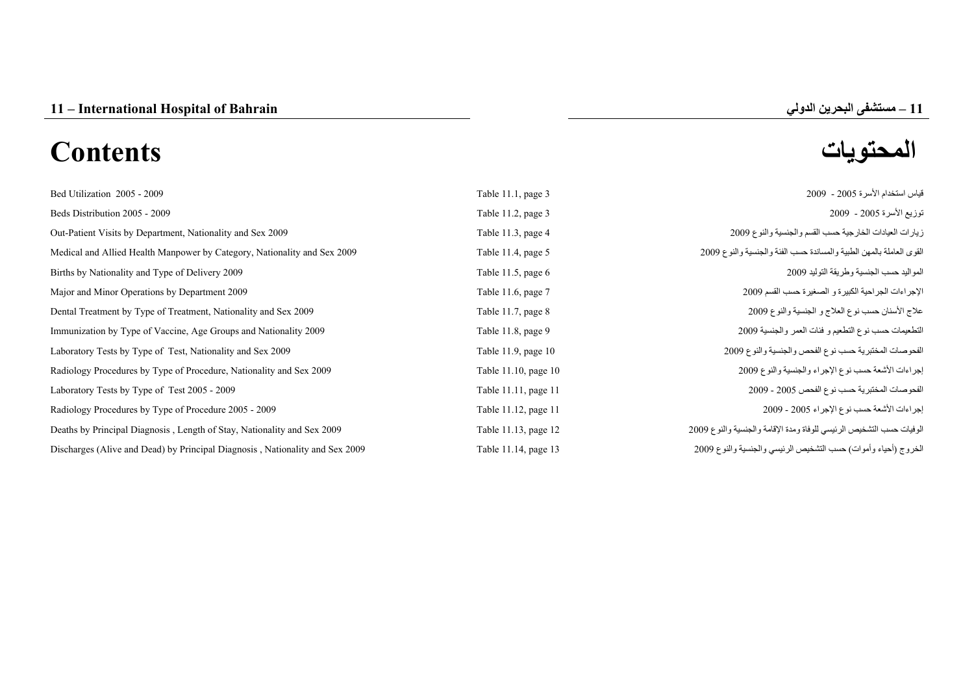# **المحتويات Contents**

| Bed Utilization 2005 - 2009                                                  | Table 11.1, page 3   | قياس استخدام الأسرة 2005 - 2009                                      |
|------------------------------------------------------------------------------|----------------------|----------------------------------------------------------------------|
| Beds Distribution 2005 - 2009                                                | Table 11.2, page 3   | توزيع الأسرة 2005 - 2009                                             |
| Out-Patient Visits by Department, Nationality and Sex 2009                   | Table 11.3, page 4   | زيارات العيادات الخارجية حسب القسم والجنسية والنوع 2009              |
| Medical and Allied Health Manpower by Category, Nationality and Sex 2009     | Table 11.4, page 5   | القوى العاملة بالمهن الطبية والمساندة حسب الفئة والجنسية والنوع 2009 |
| Births by Nationality and Type of Delivery 2009                              | Table 11.5, page 6   | المو اليد حسب الجنسية وطر يقة التوليد 2009                           |
| Major and Minor Operations by Department 2009                                | Table 11.6, page 7   | الإجراءات الجراحية الكبيرة و الصغيرة حسب القسم 2009                  |
| Dental Treatment by Type of Treatment, Nationality and Sex 2009              | Table 11.7, page 8   | علاج الأسنان حسب نوع العلاج و الجنسية والنوع 2009                    |
| Immunization by Type of Vaccine, Age Groups and Nationality 2009             | Table 11.8, page 9   | التطعيمات حسب نوع التطعيم و فئات العمر والجنسية 2009                 |
| Laboratory Tests by Type of Test, Nationality and Sex 2009                   | Table 11.9, page 10  | الفحوصات المختبرية حسب نوع الفحص والجنسية والنوع 2009                |
| Radiology Procedures by Type of Procedure, Nationality and Sex 2009          | Table 11.10, page 10 | إجراءات الأشعة حسب نوع الإجراء والجنسية والنوع 2009                  |
| Laboratory Tests by Type of Test 2005 - 2009                                 | Table 11.11, page 11 | الفحوصات المختبرية حسب نوع الفحص 2005 - 2009                         |
| Radiology Procedures by Type of Procedure 2005 - 2009                        | Table 11.12, page 11 | إجراءات الأشعة حسب نوع الإجراء 2005 - 2009                           |
| Deaths by Principal Diagnosis, Length of Stay, Nationality and Sex 2009      | Table 11.13, page 12 | الوفيات حسب التشخيص الرئيسي للوفاة ومدة الإقامة والجنسية والنوع 2009 |
| Discharges (Alive and Dead) by Principal Diagnosis, Nationality and Sex 2009 | Table 11.14, page 13 | الخروج (أحياء وأموات) حسب التشخيص الرئيسي والجنسية والنوع 2009       |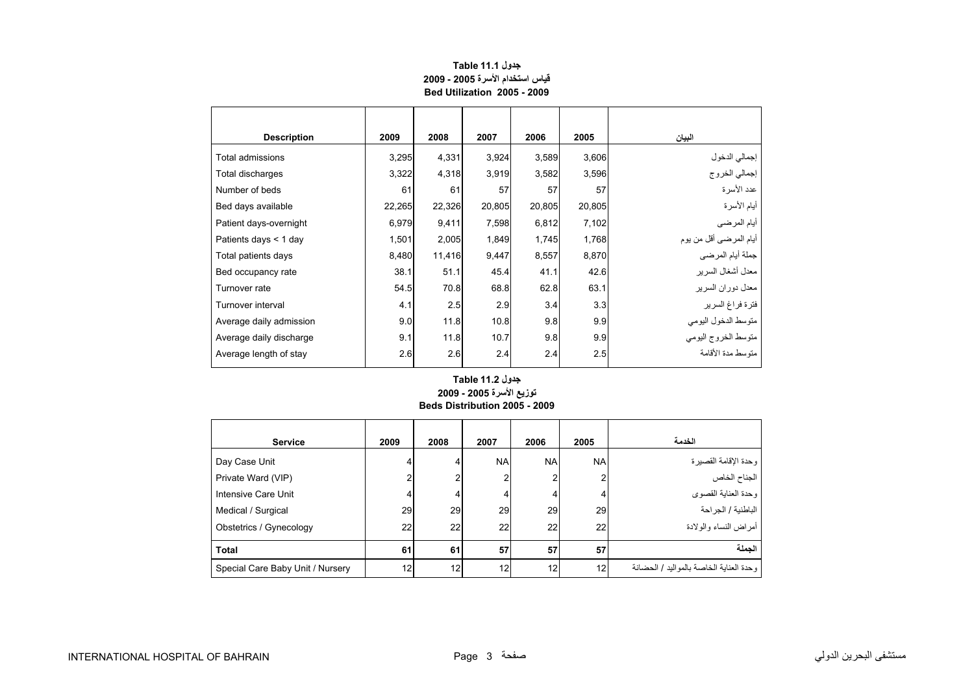<span id="page-1-0"></span>

| <b>Description</b>      | 2009   | 2008   | 2007   | 2006   | 2005   | البيان                  |
|-------------------------|--------|--------|--------|--------|--------|-------------------------|
| Total admissions        | 3,295  | 4,331  | 3,924  | 3,589  | 3,606  | إجمالي الدخول           |
| Total discharges        | 3,322  | 4,318  | 3,919  | 3,582  | 3,596  | إجمالي الخروج           |
| Number of beds          | 61     | 61     | 57     | 57     | 57     | عدد الأسرة              |
| Bed days available      | 22,265 | 22,326 | 20,805 | 20,805 | 20,805 | أيام الأسرة             |
| Patient days-overnight  | 6,979  | 9,411  | 7,598  | 6,812  | 7,102  | أيام المرضى             |
| Patients days < 1 day   | 1,501  | 2,005  | 1,849  | 1,745  | 1,768  | أيام المرضىي أقل من يوم |
| Total patients days     | 8,480  | 11,416 | 9,447  | 8,557  | 8,870  | جملة أيام المرضى        |
| Bed occupancy rate      | 38.1   | 51.1   | 45.4   | 41.1   | 42.6   | معدل أشغال السرير       |
| Turnover rate           | 54.5   | 70.8   | 68.8   | 62.8   | 63.1   | معدل دور ان السر بر     |
| Turnover interval       | 4.1    | 2.5    | 2.9    | 3.4    | 3.3    | فترة فراغ السرير        |
| Average daily admission | 9.0    | 11.8   | 10.8   | 9.8    | 9.9    | متوسط الدخول اليومي     |
| Average daily discharge | 9.1    | 11.8   | 10.7   | 9.8    | 9.9    | متوسط الخروج اليومي     |
| Average length of stay  | 2.6    | 2.6    | 2.4    | 2.4    | 2.5    | متوسط مدة الأقامة       |

# **جدول 11.1 Table قياس استخدام الأسرة 2005 - 2009 Bed Utilization 2005 - 2009**

#### **توزيع الأسرة 2005 - 2009 Beds Distribution 2005 - 2009 جدول 11.2 Table**

| <b>Service</b>                   | 2009            | 2008 | 2007      | 2006      | 2005      | الخدمة                                  |
|----------------------------------|-----------------|------|-----------|-----------|-----------|-----------------------------------------|
| Day Case Unit                    |                 |      | <b>NA</b> | <b>NA</b> | <b>NA</b> | وحدة الإقامة القصيرة                    |
| Private Ward (VIP)               |                 |      | 2         | 2         |           | الجناح الخاص                            |
| Intensive Care Unit              |                 |      | 4         | 4         |           | وحدة العناية القصوى                     |
| Medical / Surgical               | 29              | 29   | 29        | 29        | 29        | الباطنية / الجراحة                      |
| Obstetrics / Gynecology          | 22              | 22   | 22        | 22        | 22        | أمراض النساء والولادة                   |
| <b>Total</b>                     | 61              | 61   | 57        | 57        | 57        | الحملة                                  |
| Special Care Baby Unit / Nursery | 12 <sub>1</sub> | 12   | 12        | 12        | 12        | وحدة العناية الخاصة بالمواليد / الحضانة |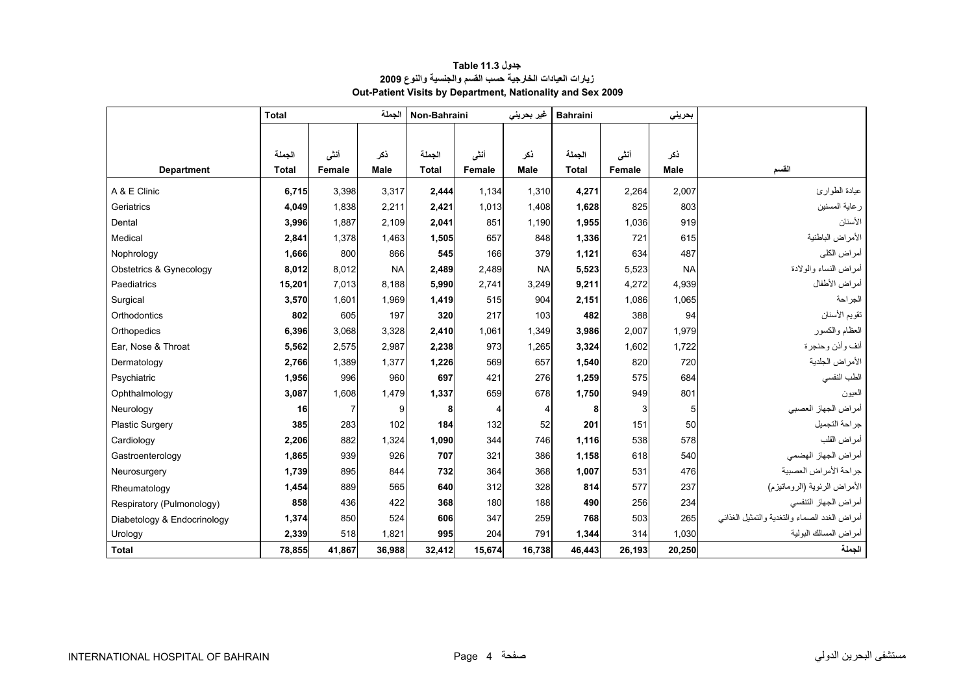<span id="page-2-0"></span>

|                             | <b>Total</b> |                | الجملة      | Non-Bahraini |               | غیر بحرین <i>ی</i> | <b>Bahraini</b> |        | بحريني      |                                               |
|-----------------------------|--------------|----------------|-------------|--------------|---------------|--------------------|-----------------|--------|-------------|-----------------------------------------------|
|                             |              |                |             |              |               |                    |                 |        |             |                                               |
|                             | الجملة       | أننى           | ذكر         | الجملة       | أننى          | ذكر                | الجملة          | أنشى   | ذكر         |                                               |
| <b>Department</b>           | <b>Total</b> | Female         | <b>Male</b> | <b>Total</b> | <b>Female</b> | <b>Male</b>        | <b>Total</b>    | Female | <b>Male</b> | القسم                                         |
| A & E Clinic                | 6,715        | 3,398          | 3,317       | 2,444        | 1,134         | 1,310              | 4,271           | 2,264  | 2,007       | عيادة الطوارئ                                 |
| Geriatrics                  | 4,049        | 1,838          | 2,211       | 2,421        | 1,013         | 1,408              | 1,628           | 825    | 803         | رعاية المسنين                                 |
| Dental                      | 3,996        | 1.887          | 2.109       | 2.041        | 851           | 1.190              | 1.955           | 1,036  | 919         | الأسنان                                       |
| Medical                     | 2,841        | 1,378          | 1,463       | 1,505        | 657           | 848                | 1,336           | 721    | 615         | الأمراض الباطنية                              |
| Nophrology                  | 1,666        | 800            | 866         | 545          | 166           | 379                | 1,121           | 634    | 487         | أمراض الكلي                                   |
| Obstetrics & Gynecology     | 8,012        | 8,012          | <b>NA</b>   | 2,489        | 2,489         | <b>NA</b>          | 5,523           | 5,523  | <b>NA</b>   | أمراض النساء والولادة                         |
| Paediatrics                 | 15,201       | 7.013          | 8.188       | 5.990        | 2.741         | 3,249              | 9,211           | 4,272  | 4.939       | أمراض الأطفال                                 |
| Surgical                    | 3,570        | 1.601          | 1,969       | 1,419        | 515           | 904                | 2,151           | 1,086  | 1,065       | الجراحة                                       |
| Orthodontics                | 802          | 605            | 197         | 320          | 217           | 103                | 482             | 388    | 94          | تقويم الأسنان                                 |
| Orthopedics                 | 6,396        | 3.068          | 3,328       | 2,410        | 1,061         | 1,349              | 3,986           | 2,007  | 1,979       | العظام والكسور                                |
| Ear, Nose & Throat          | 5,562        | 2,575          | 2,987       | 2,238        | 973           | 1,265              | 3,324           | 1,602  | 1,722       | أنف وأذن وحنجرة                               |
| Dermatology                 | 2,766        | 1,389          | 1,377       | 1,226        | 569           | 657                | 1,540           | 820    | 720         | الأمراض الجلدية                               |
| Psychiatric                 | 1,956        | 996            | 960         | 697          | 421           | 276                | 1,259           | 575    | 684         | الطب النفسي                                   |
| Ophthalmology               | 3,087        | 1,608          | 1,479       | 1,337        | 659           | 678                | 1,750           | 949    | 801         | العيون                                        |
| Neurology                   | 16           | $\overline{7}$ | 9           | 8            | 4             | $\overline{4}$     | 8               | 3      | 5           | أمراض الجهاز العصبي                           |
| <b>Plastic Surgery</b>      | 385          | 283            | 102         | 184          | 132           | 52                 | 201             | 151    | 50          | جراحة التجميل                                 |
| Cardiology                  | 2,206        | 882            | 1,324       | 1,090        | 344           | 746                | 1,116           | 538    | 578         | أمراض القلب                                   |
| Gastroenterology            | 1,865        | 939            | 926         | 707          | 321           | 386                | 1,158           | 618    | 540         | أمراض الجهاز الهضمي                           |
| Neurosurgery                | 1,739        | 895            | 844         | 732          | 364           | 368                | 1,007           | 531    | 476         | جراحة الأمراض العصبية                         |
| Rheumatology                | 1,454        | 889            | 565         | 640          | 312           | 328                | 814             | 577    | 237         | الأمراض الرئوية (الروماتيزم)                  |
| Respiratory (Pulmonology)   | 858          | 436            | 422         | 368          | 180           | 188                | 490             | 256    | 234         | أمراض الجهاز التنفسي                          |
| Diabetology & Endocrinology | 1,374        | 850            | 524         | 606          | 347           | 259                | 768             | 503    | 265         | أمراض الغدد الصماء والتغدية والتمثيل الغذائبي |
| Urology                     | 2,339        | 518            | 1,821       | 995          | 204           | 791                | 1,344           | 314    | 1,030       | أمراض المسالك البولية                         |
| <b>Total</b>                | 78,855       | 41,867         | 36,988      | 32,412       | 15,674        | 16,738             | 46,443          | 26,193 | 20,250      | الجملة                                        |

#### **جدول 11.3 Table زيارات العيادات الخارجية حسب القسم والجنسية والنوع <sup>2009</sup> Out-Patient Visits by Department, Nationality and Sex 2009**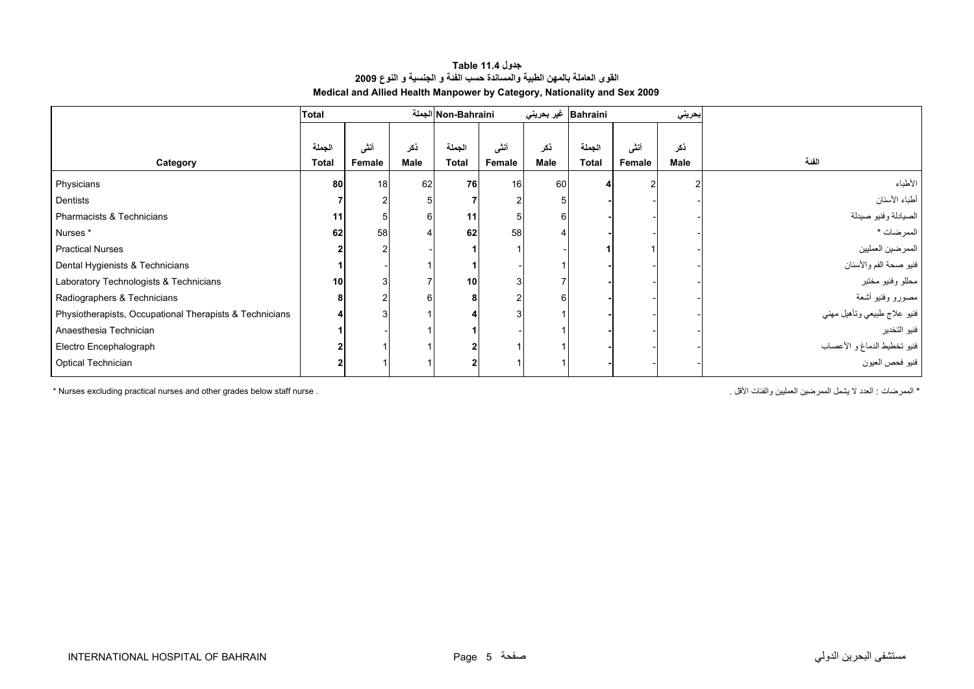<span id="page-3-0"></span>

|                                                         | <b>Total</b> |                |      | Non-Bahraini الجملة |        | Bahraini   غير بحرين <i>ي</i> |              |        | بحريني |                             |
|---------------------------------------------------------|--------------|----------------|------|---------------------|--------|-------------------------------|--------------|--------|--------|-----------------------------|
|                                                         | الجملة       | أنشى           | ذكر  | الجملة              | أننى   | ذكر                           | الجملة       | أنشى   | ذكر    |                             |
| Category                                                | <b>Total</b> | Female         | Male | <b>Total</b>        | Female | Male                          | <b>Total</b> | Female | Male   | الفئة                       |
| Physicians                                              | 80           | 18             | 62   | 76                  | 16     | 60                            |              |        |        | الأطباء                     |
| Dentists                                                |              | $\overline{2}$ |      |                     |        |                               |              |        |        | أطباء الأسنان               |
| Pharmacists & Technicians                               | 11           | 5              |      | 11                  | 5      |                               |              |        |        | الصيادلة وفنيو صيدلة        |
| Nurses *                                                | 62           | 58             |      | 62                  | 58     |                               |              |        |        | الممر ضات *                 |
| <b>Practical Nurses</b>                                 |              |                |      |                     |        |                               |              |        |        | الممرضين العمليين           |
| Dental Hygienists & Technicians                         |              |                |      |                     |        |                               |              |        |        | فنيو صحة الفم والأسنان      |
| Laboratory Technologists & Technicians                  | 10           | 3              |      | 10 <sup>1</sup>     |        |                               |              |        |        | محللو وفنيو مختبر           |
| Radiographers & Technicians                             |              |                |      |                     |        |                               |              |        |        | مصورو وفنيو أشعة            |
| Physiotherapists, Occupational Therapists & Technicians |              | 3              |      |                     |        |                               |              |        |        | فنيو علاج طبيعي وتأهيل مهني |
| Anaesthesia Technician                                  |              |                |      |                     |        |                               |              |        |        | فنيو التخدير                |
| Electro Encephalograph                                  |              |                |      |                     |        |                               |              |        |        | فنيو تخطيط الدماغ و الأعصاب |
| <b>Optical Technician</b>                               |              |                |      |                     |        |                               |              |        |        | فنيو فحص العيون             |

#### **جدول 11.4 Table القوى العاملة بالمهن الطبية والمساندة حسب الفئة <sup>و</sup> الجنسية <sup>و</sup> النوع <sup>2009</sup> Medical and Allied Health Manpower by Category, Nationality and Sex 2009**

\* Nurses excluding practical nurses and other grades below staff nurse . . الأقل والفئات العمليين الممرضين يشمل لا العدد : الممرضات\*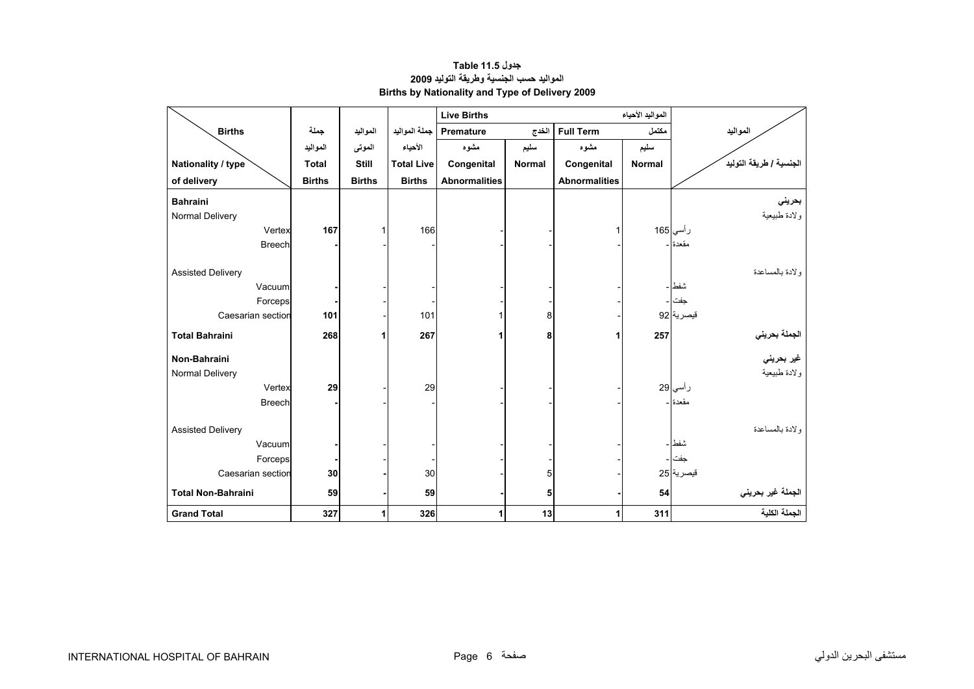# **جدول 11.5 Table المواليد حسب الجنسية وطريقة التوليد <sup>2009</sup> Births by Nationality and Type of Delivery 2009**

<span id="page-4-0"></span>

|                           |               |               |                   | <b>Live Births</b>   |               |                      |        |                         |
|---------------------------|---------------|---------------|-------------------|----------------------|---------------|----------------------|--------|-------------------------|
| <b>Births</b>             | جملة          | المواليد      | جملة المواليد     | Premature            | الخدج         | <b>Full Term</b>     | مكتمل  | المواليد                |
|                           | المواليد      | الموتى        | الأحياء           | مشوه                 | سليم          | مشوه                 | سليم   |                         |
| Nationality / type        | <b>Total</b>  | <b>Still</b>  | <b>Total Live</b> | Congenital           | <b>Normal</b> | Congenital           | Normal | الجنسية / طريقة التوليد |
| of delivery               | <b>Births</b> | <b>Births</b> | <b>Births</b>     | <b>Abnormalities</b> |               | <b>Abnormalities</b> |        |                         |
| <b>Bahraini</b>           |               |               |                   |                      |               |                      |        | بحريني                  |
| Normal Delivery           |               |               |                   |                      |               |                      |        | ولادة طبيعية            |
| Vertex                    | 167           |               | 166               |                      |               | 1                    |        | رأسي 165                |
| <b>Breech</b>             |               |               |                   |                      |               |                      |        | مقعدة ا                 |
| <b>Assisted Delivery</b>  |               |               |                   |                      |               |                      |        | ولادة بالمساعدة         |
| Vacuum                    |               |               |                   |                      |               |                      |        | شفط .                   |
| Forceps                   |               |               |                   |                      |               |                      |        | جفت                     |
| Caesarian section         | 101           |               | 101               |                      | 8             |                      |        | قيصرية 92               |
| <b>Total Bahraini</b>     | 268           | 1             | 267               |                      | 8             | 1                    | 257    | الجملة بحرين <i>ي</i>   |
| Non-Bahraini              |               |               |                   |                      |               |                      |        | غير بحرين <i>ي</i>      |
| Normal Delivery           |               |               |                   |                      |               |                      |        | ولادة طبيعية            |
| Vertex                    | 29            |               | 29                |                      |               |                      |        | رأسي 29                 |
| <b>Breech</b>             |               |               |                   |                      |               |                      |        | مقعدة ا-                |
| <b>Assisted Delivery</b>  |               |               |                   |                      |               |                      |        | و لادة بالمساعدة        |
| Vacuum                    |               |               |                   |                      |               |                      |        | شفط                     |
| Forceps                   |               |               |                   |                      |               |                      |        | جفت                     |
| Caesarian section         | 30            |               | 30                |                      | 5             |                      |        | قيصرية 25               |
| <b>Total Non-Bahraini</b> | 59            |               | 59                |                      | 5             |                      | 54     | الجملة غير بحريني       |
| <b>Grand Total</b>        | 327           | 1             | 326               |                      | 13            |                      | 311    | الجملة الكلية           |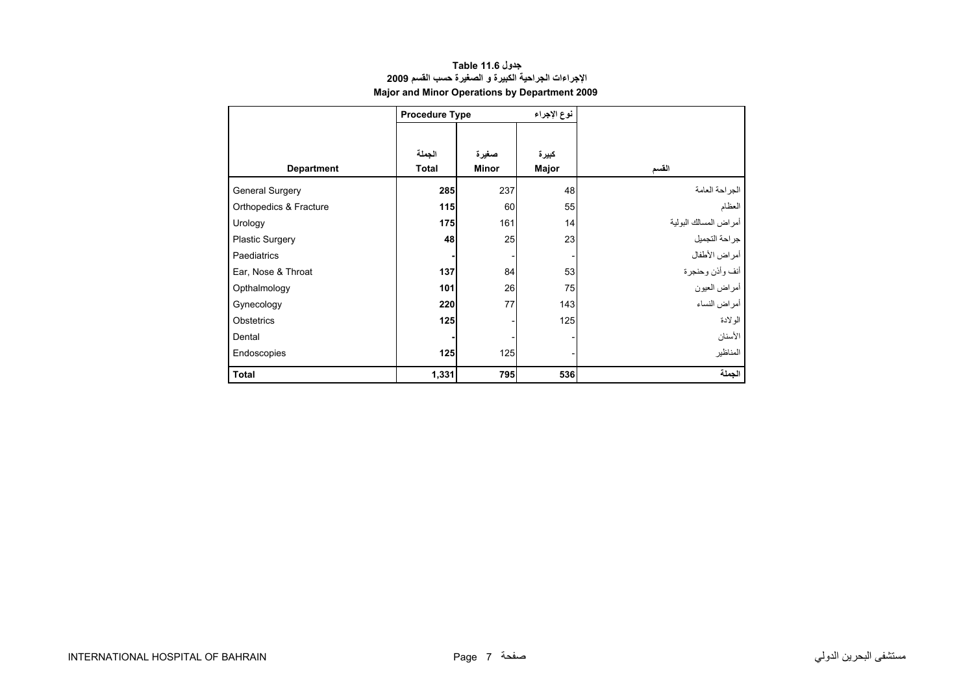#### **جدول 11.6 Table الإجراءات الجراحية الكبيرة <sup>و</sup> الصغيرة حسب القسم <sup>2009</sup> Major and Minor Operations by Department 2009**

<span id="page-5-0"></span>

|                        | <b>Procedure Type</b> |              | نوع الإجراء |                       |
|------------------------|-----------------------|--------------|-------------|-----------------------|
|                        | الجملة                | صغيرة        | كبيرة       |                       |
| <b>Department</b>      | <b>Total</b>          | <b>Minor</b> | Major       | القسم                 |
| <b>General Surgery</b> | 285                   | 237          | 48          | الجز احة العامة       |
| Orthopedics & Fracture | 115                   | 60           | 55          | العظام                |
| Urology                | 175                   | 161          | 14          | أمراض المسالك البولية |
| <b>Plastic Surgery</b> | 48                    | 25           | 23          | جراحة التجميل         |
| Paediatrics            |                       |              |             | أمراض الأطفال         |
| Ear, Nose & Throat     | 137                   | 84           | 53          | أنف وأذن وحنجرة       |
| Opthalmology           | 101                   | 26           | 75          | أمراض العيون          |
| Gynecology             | 220                   | 77           | 143         | أمراض النساء          |
| <b>Obstetrics</b>      | 125                   |              | 125         | الو لادة              |
| Dental                 |                       |              |             | الأسنان               |
| Endoscopies            | 125                   | 125          |             | المناظير              |
| <b>Total</b>           | 1,331                 | 795          | 536         | الجملة                |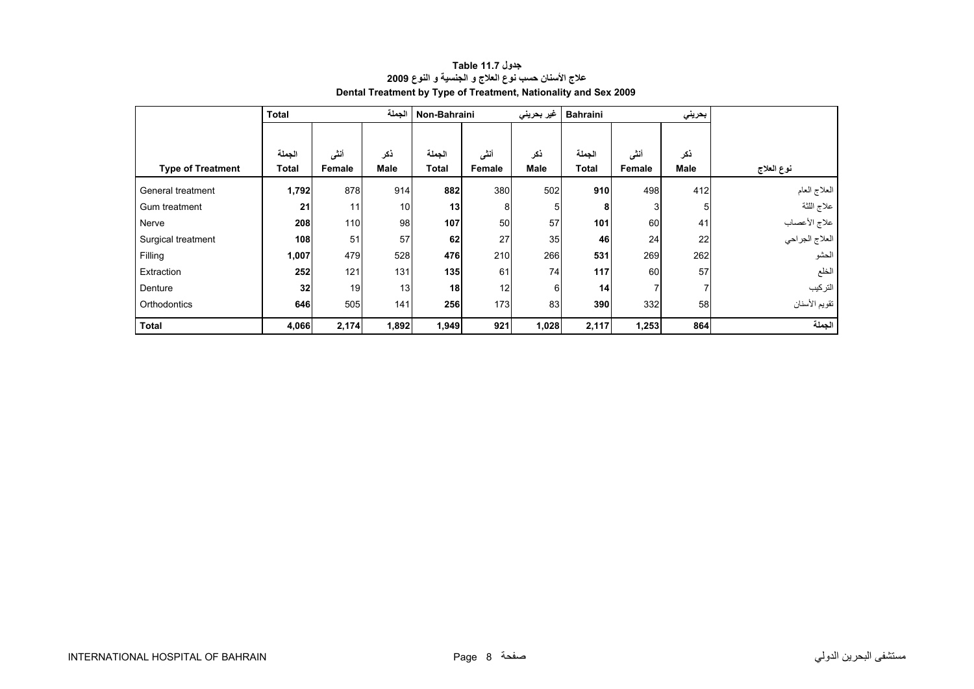<span id="page-6-0"></span>

|                          | <b>Total</b> |        | الجملة          | Non-Bahraini |               | غیر بحرینی  | <b>Bahraini</b> |        | بحريني |                |
|--------------------------|--------------|--------|-----------------|--------------|---------------|-------------|-----------------|--------|--------|----------------|
|                          |              |        |                 |              |               |             |                 |        |        |                |
|                          | الجملة       | أننس   | ذكر             | الجملة       | أنشى          | ذكر         | الجملة          | أنشى   | ذكر    |                |
| <b>Type of Treatment</b> | Total        | Female | <b>Male</b>     | <b>Total</b> | <b>Female</b> | <b>Male</b> | <b>Total</b>    | Female | Male   | نوع العلاج     |
| General treatment        | 1,792        | 878    | 914             | 882          | 380           | 502         | 910             | 498    | 412    | العلاج العام   |
| Gum treatment            | 21           | 11     | 10              | 13           | 8             | 5           | 8               |        | 5      | علاج اللثة     |
| Nerve                    | 208          | 110    | 98              | 107          | 50            | 57          | 101             | 60     | 41     | علاج الأعصاب   |
| Surgical treatment       | 108          | 51     | 57              | 62           | 27            | 35          | 46              | 24     | 22     | العلاج الجراحي |
| Filling                  | 1,007        | 479    | 528             | 476          | 210           | 266         | 531             | 269    | 262    | الحشو          |
| Extraction               | 252          | 121    | 131             | 135          | 61            | 74          | 117             | 60     | 57     | الخلع          |
| Denture                  | 32           | 19     | 13 <sub>1</sub> | 18           | 12            | 6           | 14              |        |        | التركيب        |
| Orthodontics             | 646          | 505    | 141             | 256          | 173           | 83          | 390             | 332    | 58     | تقويم الأسنان  |
| <b>Total</b>             | 4,066        | 2,174  | 1,892           | 1,949        | 921           | 1,028       | 2,117           | 1,253  | 864    | الجملة         |

# **جدول 11.7 Table علاج الأسنان حسب نوع العلاج <sup>و</sup> الجنسية <sup>و</sup> النوع <sup>2009</sup> Dental Treatment by Type of Treatment, Nationality and Sex 2009**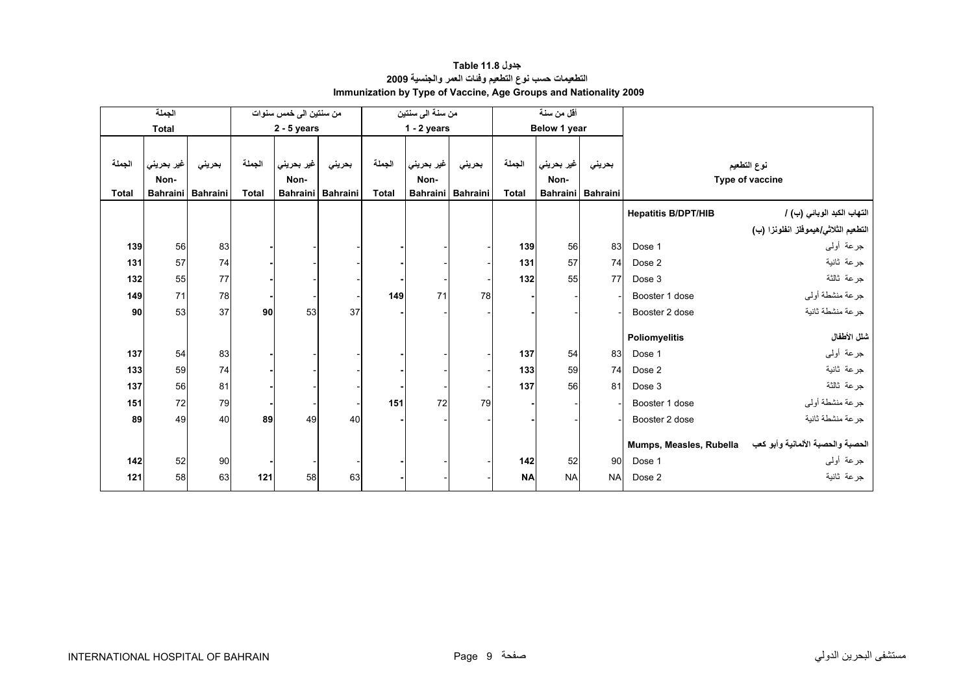<span id="page-7-0"></span>

|              | الجملة          |                 |              | من سنتين الى خمس سنوات |                 |              | من سنة الى سنتين |          | أقل من سنة   |                 |           |                            |                                      |
|--------------|-----------------|-----------------|--------------|------------------------|-----------------|--------------|------------------|----------|--------------|-----------------|-----------|----------------------------|--------------------------------------|
|              | <b>Total</b>    |                 |              | $2 - 5$ years          |                 |              | $1 - 2$ years    |          |              | Below 1 year    |           |                            |                                      |
|              |                 |                 |              |                        |                 |              |                  |          |              |                 |           |                            |                                      |
| الجملة       | غير بحريني      | بحريني          | الجملة       | غير بحريني             | بحريني          | الجملة       | غير بحريني       | بحريني   | الجملة       | غير بحريني      | بحريني    |                            | نوع التطعيم                          |
|              | Non-            |                 |              | Non-                   |                 |              | Non-             |          |              | Non-            |           |                            | Type of vaccine                      |
| <b>Total</b> | <b>Bahraini</b> | <b>Bahraini</b> | <b>Total</b> | <b>Bahraini</b>        | <b>Bahraini</b> | <b>Total</b> | <b>Bahraini</b>  | Bahraini | <b>Total</b> | <b>Bahraini</b> | Bahraini  |                            |                                      |
|              |                 |                 |              |                        |                 |              |                  |          |              |                 |           | <b>Hepatitis B/DPT/HIB</b> | التهاب الكبد الوبائي (ب) /           |
|              |                 |                 |              |                        |                 |              |                  |          |              |                 |           |                            | التطعيم الثلاثي/هيموفلز انفلونزا (ب) |
| 139          | 56              | 83              |              |                        |                 |              |                  |          | 139          | 56              | 83        | Dose 1                     | جرعة أولىي                           |
| 131          | 57              | 74              |              |                        |                 |              |                  |          | 131          | 57              | 74        | Dose 2                     | جرعة ثانية                           |
| 132          | 55              | 77              |              |                        |                 |              |                  |          | 132          | 55              | 77        | Dose 3                     | جرعة ثالثة                           |
| 149          | 71              | 78              |              |                        |                 | 149          | 71               | 78       |              |                 |           | Booster 1 dose             | جرعة منشطة أوليي                     |
| 90           | 53              | 37              | 90           | 53                     | 37              |              |                  |          |              |                 |           | Booster 2 dose             | جرعة منشطة ثانية                     |
|              |                 |                 |              |                        |                 |              |                  |          |              |                 |           | Poliomyelitis              | شلل الأطفال                          |
| 137          | 54              | 83              |              |                        |                 |              |                  |          | 137          | 54              | 83        | Dose 1                     | جرعة أولىي                           |
| 133          | 59              | 74              |              |                        |                 |              |                  |          | 133          | 59              | 74        | Dose 2                     | جرعة ثانية                           |
| 137          | 56              | 81              |              |                        |                 |              |                  |          | 137          | 56              | 81        | Dose 3                     | جرعة ثالثة                           |
| 151          | 72              | 79              |              |                        |                 | 151          | 72               | 79       |              |                 |           | Booster 1 dose             | جرعة منشطة أولى                      |
| 89           | 49              | 40              | 89           | 49                     | 40              |              |                  |          |              |                 |           | Booster 2 dose             | جر عة منشطة ثانية                    |
|              |                 |                 |              |                        |                 |              |                  |          |              |                 |           |                            |                                      |
|              |                 |                 |              |                        |                 |              |                  |          |              |                 |           | Mumps, Measles, Rubella    | الحصبة والحصبة الألمانية وأبو كعب    |
| 142          | 52              | 90              |              |                        |                 |              |                  |          | 142          | 52              | 90l       | Dose 1                     | جرعة أولىي                           |
| 121          | 58              | 63              | 121          | 58                     | 63              |              |                  |          | <b>NA</b>    | <b>NA</b>       | <b>NA</b> | Dose 2                     | جرعة ثانية                           |

# **جدول 11.8 Table التطعيمات حسب نوع التطعيم وفئات العمر والجنسية <sup>2009</sup> Immunization by Type of Vaccine, Age Groups and Nationality 2009**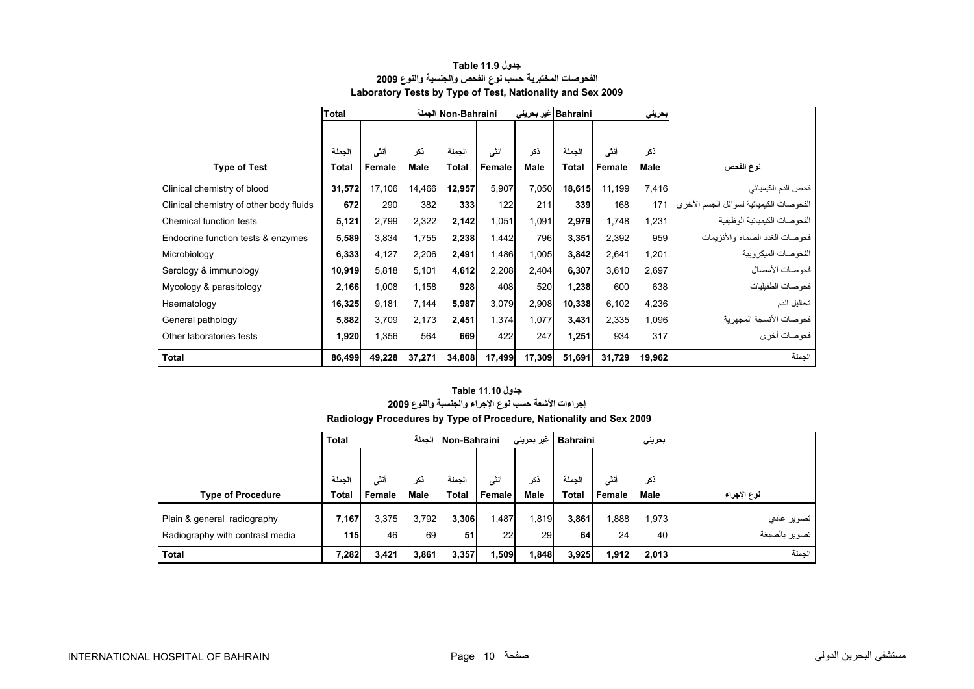<span id="page-8-0"></span>

|                                         | <b>Total</b> |        |        | Non-Bahraini الجملة |        |        | Bahraini غير بحريني |        | بحرينى      |                                         |
|-----------------------------------------|--------------|--------|--------|---------------------|--------|--------|---------------------|--------|-------------|-----------------------------------------|
|                                         |              |        |        |                     |        |        |                     |        |             |                                         |
|                                         | الحملة       | أنشى   | نكر    | الجملة              | أنشى   | ذكر    | الجملة              | أنشى   | ذكر         |                                         |
| <b>Type of Test</b>                     | <b>Total</b> | Female | Male   | Total               | Female | Male   | <b>Total</b>        | Female | <b>Male</b> | نوع الفحص                               |
| Clinical chemistry of blood             | 31,572       | 17,106 | 14,466 | 12,957              | 5,907  | 7,050  | 18,615              | 11.199 | 7,416       | فحص الدم الكيميائي                      |
| Clinical chemistry of other body fluids | 672          | 290    | 382    | 333                 | 122    | 211    | 339                 | 168    | 171         | الفحوصات الكيميائية لسوائل الجسم الأخرى |
| Chemical function tests                 | 5,121        | 2,799  | 2,322  | 2,142               | 1,051  | 1,091  | 2,979               | 1,748  | 1,231       | الفحوصات الكيميائية الوظيفية            |
| Endocrine function tests & enzymes      | 5,589        | 3,834  | 1,755  | 2,238               | 1,442  | 796    | 3,351               | 2,392  | 959         | فحو صات الغدد الصماء و الأنز يمات       |
| Microbiology                            | 6,333        | 4,127  | 2,206  | 2,491               | 1,486  | 1,005  | 3,842               | 2,641  | 1,201       | الفحوصات الميكروبية                     |
| Serology & immunology                   | 10,919       | 5,818  | 5,101  | 4,612               | 2,208  | 2,404  | 6,307               | 3,610  | 2,697       | فحو صات الأمصال                         |
| Mycology & parasitology                 | 2,166        | 1,008  | 1,158  | 928                 | 408    | 520    | 1,238               | 600    | 638         | فحوصات الطفيليات                        |
| Haematology                             | 16,325       | 9,181  | 7,144  | 5,987               | 3,079  | 2,908  | 10,338              | 6,102  | 4,236       | تحاليل الدم                             |
| General pathology                       | 5,882        | 3,709  | 2,173  | 2,451               | 1,374  | 1,077  | 3,431               | 2,335  | 1,096       | فحو صبات الأنسجة المجهر ية              |
| Other laboratories tests                | 1,920        | 1,356  | 564    | 669                 | 422    | 247    | 1,251               | 934    | 317         | فحوصات أخرى                             |
| <b>Total</b>                            | 86,499       | 49,228 | 37,271 | 34,808              | 17,499 | 17,309 | 51,691              | 31,729 | 19,962      | الجملة                                  |

#### **جدول 11.9 Table الفحوصات المختبرية حسب نوع الفحص والجنسية والنوع <sup>2009</sup> Laboratory Tests by Type of Test, Nationality and Sex 2009**

# **جدول 11.10 Table**

# **إجراءات الأشعة حسب نوع الإجراء والجنسية والنوع <sup>2009</sup>**

|                                 | <b>Total</b> |        | الجملة<br>Non-Bahraini |              |        | غیر بحرینی  | <b>Bahraini</b> |        | بحرينى      |               |
|---------------------------------|--------------|--------|------------------------|--------------|--------|-------------|-----------------|--------|-------------|---------------|
|                                 |              |        |                        |              |        |             |                 |        |             |               |
|                                 | الحملة       | أنشى   | ذكر                    | الجملة       | أنثى   | ذكر         | الحملة          | أنشى   | ذكر         |               |
| <b>Type of Procedure</b>        | <b>Total</b> | Female | <b>Male</b>            | <b>Total</b> | Female | <b>Male</b> | <b>Total</b>    | Female | <b>Male</b> | نوع الإجراء   |
| Plain & general radiography     | 7,167        | 3,375  | 3,792                  | 3,306        | ,487   | 1,819       | 3,861           | 1,888  | 1,973       | تصوير عادي    |
| Radiography with contrast media | 115          | 46     | 69                     | 51           | 22     | 29          | 64              | 24     | 40          | تصوير بالصبغة |
| <b>Total</b>                    | 7,282        | 3,421  | 3,861                  | 3,357        | 1,509  | 1,848       | 3,925           | 1,912  | 2,013       | الجملة        |

**Radiology Procedures by Type of Procedure, Nationality and Sex 2009**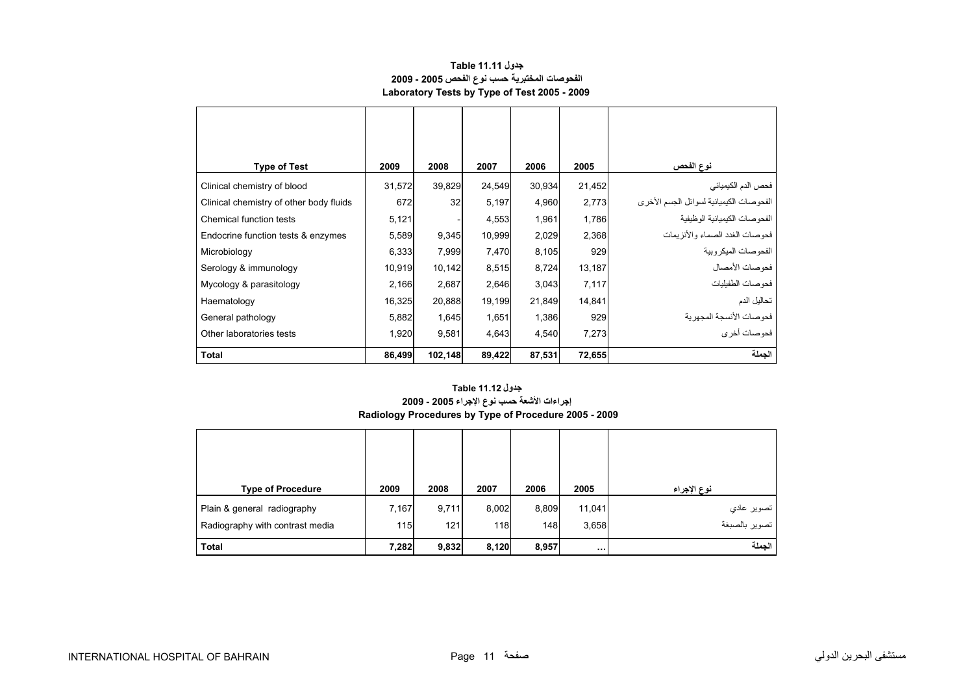<span id="page-9-0"></span>

| <b>Type of Test</b>                     | 2009   | 2008    | 2007   | 2006   | 2005   | نوع الفحص                               |
|-----------------------------------------|--------|---------|--------|--------|--------|-----------------------------------------|
| Clinical chemistry of blood             | 31,572 | 39,829  | 24,549 | 30,934 | 21,452 | فحص الدم الكيميائي                      |
| Clinical chemistry of other body fluids | 672    | 32      | 5,197  | 4,960  | 2,773  | الفحوصات الكيميائية لسوائل الجسم الأخرى |
| Chemical function tests                 | 5,121  |         | 4,553  | 1,961  | 1,786  | الفحو صبات الكيميائية الو ظيفية         |
| Endocrine function tests & enzymes      | 5,589  | 9,345   | 10,999 | 2,029  | 2,368  | فحو صات الغدد الصماء و الأنز بمات       |
| Microbiology                            | 6,333  | 7,999   | 7,470  | 8,105  | 929    | الفحو صبات الميكر وبية                  |
| Serology & immunology                   | 10,919 | 10,142  | 8,515  | 8,724  | 13,187 | فحو صبات الأمصيال                       |
| Mycology & parasitology                 | 2,166  | 2,687   | 2,646  | 3,043  | 7,117  | فحو صات الطفيليات                       |
| Haematology                             | 16,325 | 20,888  | 19,199 | 21,849 | 14,841 | تحاليل الدم                             |
| General pathology                       | 5,882  | 1,645   | 1,651  | 1,386  | 929    | فحو صبات الأنسجة المجهر ية              |
| Other laboratories tests                | 1,920  | 9,581   | 4,643  | 4,540  | 7,273  | فحوصات أخزى                             |
| <b>Total</b>                            | 86,499 | 102,148 | 89,422 | 87,531 | 72,655 | الجملة                                  |

#### **جدول 11.11 Table الفحوصات المختبرية حسب نوع الفحص 2005 - 2009 Laboratory Tests by Type of Test 2005 - 2009**

# **إجراءات الأشعة حسب نوع الإجراء 2005 - 2009 Radiology Procedures by Type of Procedure 2005 - 2009 جدول 11.12 Table**

| <b>Type of Procedure</b>        | 2009  | 2008  | 2007  | 2006  | 2005   | نوع الإجراء                 |
|---------------------------------|-------|-------|-------|-------|--------|-----------------------------|
| Plain & general radiography     | 7,167 | 9,711 | 8,002 | 8,809 | 11,041 | تصوير عادي<br>نصوير بالصبغة |
| Radiography with contrast media | 115   | 121   | 118   | 148   | 3,658  |                             |
| <b>Total</b>                    | 7,282 | 9,832 | 8,120 | 8,957 |        | الجملة                      |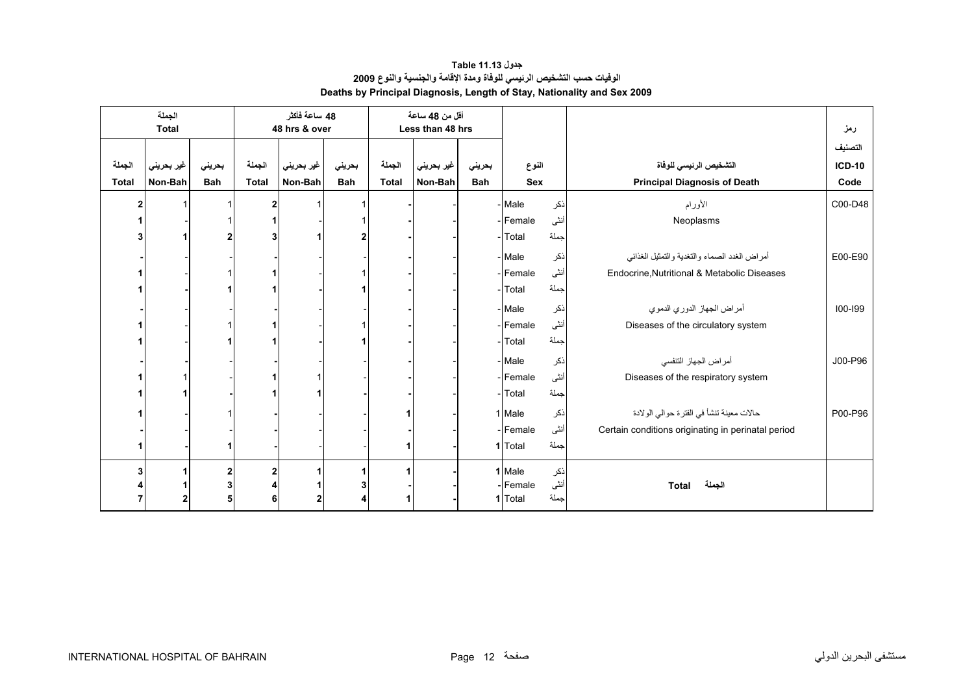| جدول Table 11.13                                                        |
|-------------------------------------------------------------------------|
| الوفيات حسب التشخيص الرئيسي للوفاة ومدة الإقامة والجنسية والنوع 2009    |
| Deaths by Principal Diagnosis, Length of Stay, Nationality and Sex 2009 |

<span id="page-10-0"></span>

| الجملة<br><b>Total</b> |            | 48 ساعة فأكثر<br>48 hrs & over |              |            | أقل من 48 ساعة<br>Less than 48 hrs |              |            |            |                     |              | رمز                                                |               |
|------------------------|------------|--------------------------------|--------------|------------|------------------------------------|--------------|------------|------------|---------------------|--------------|----------------------------------------------------|---------------|
|                        |            |                                |              |            |                                    |              |            |            |                     |              |                                                    | التصنيف       |
| الجملة                 | غير بحريني | بحريني                         | الجملة       | غير بحريني | بحريني                             | الجملة       | غير بحريني | بحريني     | النوع               |              | التشخيص الرئيسى للوفاة                             | <b>ICD-10</b> |
| <b>Total</b>           | Non-Bah    | <b>Bah</b>                     | <b>Total</b> | Non-Bah    | <b>Bah</b>                         | <b>Total</b> | Non-Bah    | <b>Bah</b> | <b>Sex</b>          |              | <b>Principal Diagnosis of Death</b>                | Code          |
| $\mathbf{2}$           |            |                                | 2            |            |                                    |              |            |            | - Male              | ذكر          | الأورام                                            | C00-D48       |
|                        |            |                                |              |            |                                    |              |            |            | - Female            | أنثى         | Neoplasms                                          |               |
| 3                      |            |                                | 3            |            | 2                                  |              |            |            | - Total             | اجملة        |                                                    |               |
|                        |            |                                |              |            |                                    |              |            |            | - Male              | ذكر          | أمراض الغدد الصماء والتغدية والتمثيل الغذائي       | E00-E90       |
|                        |            |                                |              |            |                                    |              |            |            | - Female            | أنثى         | Endocrine, Nutritional & Metabolic Diseases        |               |
|                        |            |                                |              |            |                                    |              |            |            | - Total             | جملة         |                                                    |               |
|                        |            |                                |              |            |                                    |              |            |            | - Male              | ذكر          | أمراض الجهاز الدوري الدموي                         | 100-199       |
|                        |            |                                |              |            |                                    |              |            |            | - Female            | أنثى         | Diseases of the circulatory system                 |               |
|                        |            |                                |              |            |                                    |              |            |            | -Total              | جملة         |                                                    |               |
|                        |            |                                |              |            |                                    |              |            |            | - Male              | ذكر          | أمراض الجهاز التنفسي                               | J00-P96       |
|                        |            |                                |              |            |                                    |              |            |            | - Female            | أنثى         | Diseases of the respiratory system                 |               |
|                        |            |                                |              |            |                                    |              |            |            | - Total             | جملة         |                                                    |               |
|                        |            |                                |              |            |                                    |              |            |            | 1 Male              | نكر          | حالات معينة تتشأ في الفترة حوالي الولادة           | P00-P96       |
|                        |            |                                |              |            |                                    |              |            |            | -Female             | أنثى         | Certain conditions originating in perinatal period |               |
| 1                      |            |                                |              |            |                                    |              |            |            | 1 Total             | جملة         |                                                    |               |
|                        |            |                                |              |            |                                    |              |            |            |                     |              |                                                    |               |
| 3                      |            | $\mathbf{2}$                   | 2            |            | 1                                  |              |            |            | 1 Male              | نكر          | الجملة                                             |               |
|                        |            | 3<br>5                         | 6            |            | 3<br>4                             |              |            |            | - Female<br>1 Total | أنثى<br>جملة | Total                                              |               |
|                        |            |                                |              |            |                                    |              |            |            |                     |              |                                                    |               |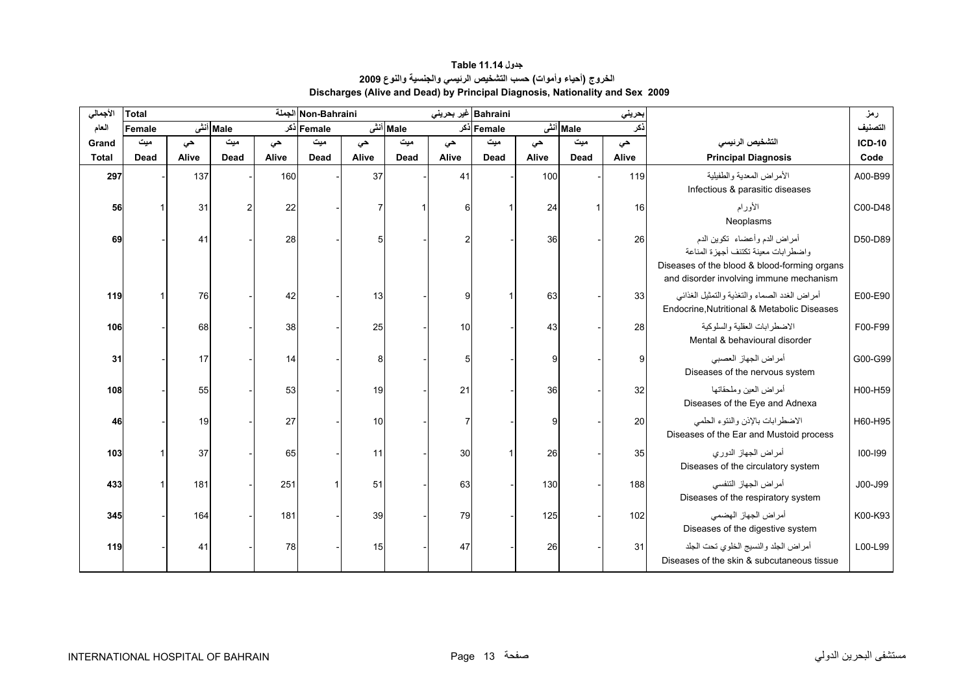# **جدول 11.14 Table الخروج (أحياء وأموات) حسب التشخيص الرئيسي والجنسية والنوع <sup>2009</sup> Discharges (Alive and Dead) by Principal Diagnosis, Nationality and Sex 2009**

<span id="page-11-0"></span>

| الأجمالي     | <b>Total</b> |       |          |       | Non-Bahraini الجملة |       |            | Bahraini غیر بحرینی |            |       |          | حريني |                                                                                                                                                                  | رمز      |
|--------------|--------------|-------|----------|-------|---------------------|-------|------------|---------------------|------------|-------|----------|-------|------------------------------------------------------------------------------------------------------------------------------------------------------------------|----------|
| العام        | Female       |       | Male أنش |       | Female دکر          |       | ً Male أنش |                     | Female دکر |       | Male أنش | :کر   |                                                                                                                                                                  | التصنيف  |
| Grand        | میت          | حى    | میت      | حى    | ميت                 | حى    | میت        | حى                  | میت        | حى    | میت      | حي    | التشخيص الرئيسي                                                                                                                                                  | $ICD-10$ |
| <b>Total</b> | Dead         | Alive | Dead     | Alive | Dead                | Alive | Dead       | Alive               | Dead       | Alive | Dead     | Alive | <b>Principal Diagnosis</b>                                                                                                                                       | Code     |
| 297          |              | 137   |          | 160   |                     | 37    |            | 41                  |            | 100   |          | 119   | الأمراض المعدية والطفيلية<br>Infectious & parasitic diseases                                                                                                     | A00-B99  |
| 56           |              | 31    |          | 22    |                     |       |            | ี                   |            | 24    |          | 16    | الأورام<br>Neoplasms                                                                                                                                             | C00-D48  |
| 69           |              | 41    |          | 28    |                     |       |            |                     |            | 36    |          | 26    | أمراض الدم وأعضاء تكوين الدم<br>واضطر ابات معبنة تكتنف أجهز ة المناعة<br>Diseases of the blood & blood-forming organs<br>and disorder involving immune mechanism | D50-D89  |
| 119          |              | 76    |          | 42    |                     | 13    |            | g                   |            | 63    |          | 33    | أمراض الغدد الصماء والتغذية والتمثيل الغذائبي<br>Endocrine, Nutritional & Metabolic Diseases                                                                     | E00-E90  |
| 106          |              | 68    |          | 38    |                     | 25    |            | 10                  |            | 43    |          | 28    | الاضطر ابات العقلبة والسلوكبة<br>Mental & behavioural disorder                                                                                                   | F00-F99  |
| 31           |              | 17    |          | 14    |                     | 8     |            | 5                   |            | q     |          | q     | أمراض الجهاز العصبي<br>Diseases of the nervous system                                                                                                            | G00-G99  |
| 108          |              | 55    |          | 53    |                     | 19    |            | 21                  |            | 36    |          | 32    | أمراض العين وملحقاتها<br>Diseases of the Eye and Adnexa                                                                                                          | H00-H59  |
| 46           |              | 19    |          | 27    |                     | 10    |            |                     |            | g     |          | 20    | الاضطرابات بالإذن والنتوء الحلمي<br>Diseases of the Ear and Mustoid process                                                                                      | H60-H95  |
| 103          |              | 37    |          | 65    |                     | 11    |            | 30                  |            | 26    |          | 35    | أمراض الجهاز الدوري<br>Diseases of the circulatory system                                                                                                        | 100-199  |
| 433          |              | 181   |          | 251   |                     | 51    |            | 63                  |            | 130   |          | 188   | أمراض الجهاز التنفسي<br>Diseases of the respiratory system                                                                                                       | J00-J99  |
| 345          |              | 164   |          | 181   |                     | 39    |            | 79                  |            | 125   |          | 102   | أمراض الجهاز الهضمى<br>Diseases of the digestive system                                                                                                          | K00-K93  |
| 119          |              | 41    |          | 78    |                     | 15    |            | 47                  |            | 26    |          | 31    | أمراض الجلد والنسيج الخلوي تحت الجلد<br>Diseases of the skin & subcutaneous tissue                                                                               | L00-L99  |